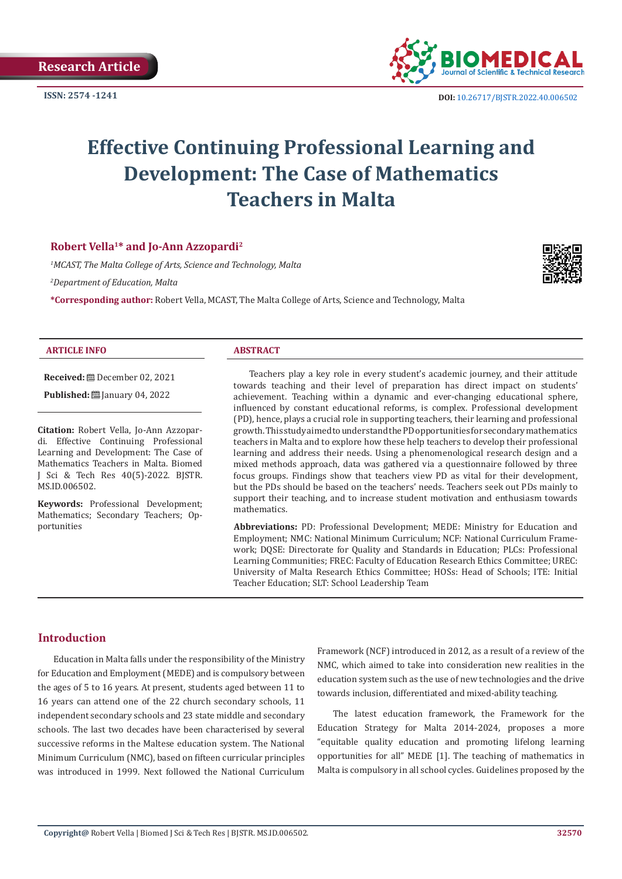

**ISSN: 2574 -1241 DOI:** [10.26717/BJSTR.2022.40.006502](https://dx.doi.org/10.26717/BJSTR.2022.40.006502)

# **Effective Continuing Professional Learning and Development: The Case of Mathematics Teachers in Malta**

# **Robert Vella1\* and Jo-Ann Azzopardi2**

*1 MCAST, The Malta College of Arts, Science and Technology, Malta 2 Department of Education, Malta*

**\*Corresponding author:** Robert Vella, MCAST, The Malta College of Arts, Science and Technology, Malta



#### **ARTICLE INFO ABSTRACT**

**Received:** December 02, 2021 **Published: [**] January 04, 2022

**Citation:** Robert Vella, Jo-Ann Azzopardi. Effective Continuing Professional Learning and Development: The Case of Mathematics Teachers in Malta. Biomed J Sci & Tech Res 40(5)-2022. BJSTR. MS.ID.006502.

**Keywords:** Professional Development; Mathematics; Secondary Teachers; Opportunities

Teachers play a key role in every student's academic journey, and their attitude towards teaching and their level of preparation has direct impact on students' achievement. Teaching within a dynamic and ever-changing educational sphere, influenced by constant educational reforms, is complex. Professional development (PD), hence, plays a crucial role in supporting teachers, their learning and professional growth. This study aimed to understand the PD opportunities for secondary mathematics teachers in Malta and to explore how these help teachers to develop their professional learning and address their needs. Using a phenomenological research design and a mixed methods approach, data was gathered via a questionnaire followed by three focus groups. Findings show that teachers view PD as vital for their development, but the PDs should be based on the teachers' needs. Teachers seek out PDs mainly to support their teaching, and to increase student motivation and enthusiasm towards mathematics.

**Abbreviations:** PD: Professional Development; MEDE: Ministry for Education and Employment; NMC: National Minimum Curriculum; NCF: National Curriculum Framework; DQSE: Directorate for Quality and Standards in Education; PLCs: Professional Learning Communities; FREC: Faculty of Education Research Ethics Committee; UREC: University of Malta Research Ethics Committee; HOSs: Head of Schools; ITE: Initial Teacher Education; SLT: School Leadership Team

# **Introduction**

Education in Malta falls under the responsibility of the Ministry for Education and Employment (MEDE) and is compulsory between the ages of 5 to 16 years. At present, students aged between 11 to 16 years can attend one of the 22 church secondary schools, 11 independent secondary schools and 23 state middle and secondary schools. The last two decades have been characterised by several successive reforms in the Maltese education system. The National Minimum Curriculum (NMC), based on fifteen curricular principles was introduced in 1999. Next followed the National Curriculum Framework (NCF) introduced in 2012, as a result of a review of the NMC, which aimed to take into consideration new realities in the education system such as the use of new technologies and the drive towards inclusion, differentiated and mixed-ability teaching.

The latest education framework, the Framework for the Education Strategy for Malta 2014-2024, proposes a more "equitable quality education and promoting lifelong learning opportunities for all" MEDE [1]. The teaching of mathematics in Malta is compulsory in all school cycles. Guidelines proposed by the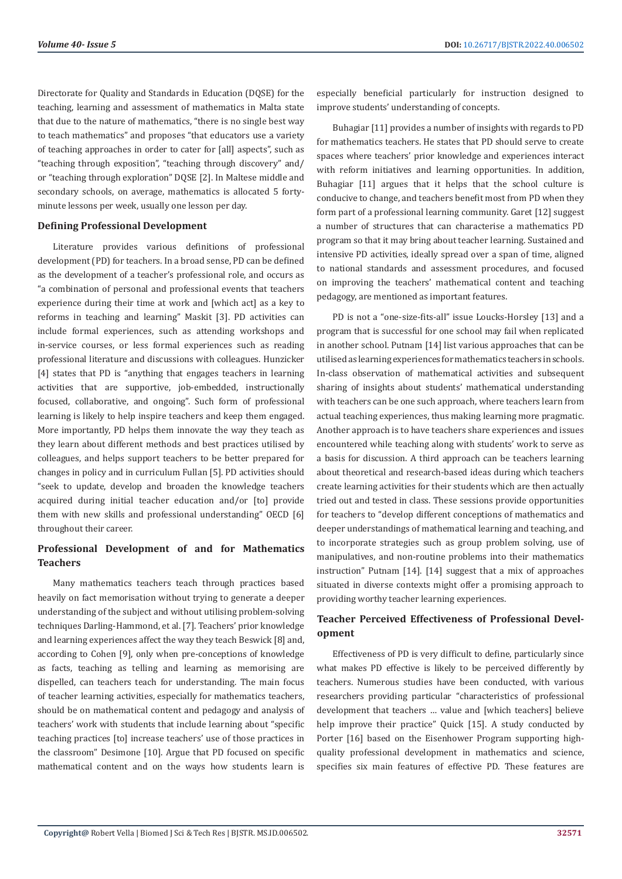Directorate for Quality and Standards in Education (DQSE) for the teaching, learning and assessment of mathematics in Malta state that due to the nature of mathematics, "there is no single best way to teach mathematics" and proposes "that educators use a variety of teaching approaches in order to cater for [all] aspects", such as "teaching through exposition", "teaching through discovery" and/ or "teaching through exploration" DQSE [2]. In Maltese middle and secondary schools, on average, mathematics is allocated 5 fortyminute lessons per week, usually one lesson per day.

#### **Defining Professional Development**

Literature provides various definitions of professional development (PD) for teachers. In a broad sense, PD can be defined as the development of a teacher's professional role, and occurs as "a combination of personal and professional events that teachers experience during their time at work and [which act] as a key to reforms in teaching and learning" Maskit [3]. PD activities can include formal experiences, such as attending workshops and in-service courses, or less formal experiences such as reading professional literature and discussions with colleagues. Hunzicker [4] states that PD is "anything that engages teachers in learning activities that are supportive, job-embedded, instructionally focused, collaborative, and ongoing". Such form of professional learning is likely to help inspire teachers and keep them engaged. More importantly, PD helps them innovate the way they teach as they learn about different methods and best practices utilised by colleagues, and helps support teachers to be better prepared for changes in policy and in curriculum Fullan [5]. PD activities should "seek to update, develop and broaden the knowledge teachers acquired during initial teacher education and/or [to] provide them with new skills and professional understanding" OECD [6] throughout their career.

# **Professional Development of and for Mathematics Teachers**

Many mathematics teachers teach through practices based heavily on fact memorisation without trying to generate a deeper understanding of the subject and without utilising problem-solving techniques Darling-Hammond, et al. [7]. Teachers' prior knowledge and learning experiences affect the way they teach Beswick [8] and, according to Cohen [9], only when pre-conceptions of knowledge as facts, teaching as telling and learning as memorising are dispelled, can teachers teach for understanding. The main focus of teacher learning activities, especially for mathematics teachers, should be on mathematical content and pedagogy and analysis of teachers' work with students that include learning about "specific teaching practices [to] increase teachers' use of those practices in the classroom" Desimone [10]. Argue that PD focused on specific mathematical content and on the ways how students learn is

especially beneficial particularly for instruction designed to improve students' understanding of concepts.

Buhagiar [11] provides a number of insights with regards to PD for mathematics teachers. He states that PD should serve to create spaces where teachers' prior knowledge and experiences interact with reform initiatives and learning opportunities. In addition, Buhagiar [11] argues that it helps that the school culture is conducive to change, and teachers benefit most from PD when they form part of a professional learning community. Garet [12] suggest a number of structures that can characterise a mathematics PD program so that it may bring about teacher learning. Sustained and intensive PD activities, ideally spread over a span of time, aligned to national standards and assessment procedures, and focused on improving the teachers' mathematical content and teaching pedagogy, are mentioned as important features.

PD is not a "one-size-fits-all" issue Loucks-Horsley [13] and a program that is successful for one school may fail when replicated in another school. Putnam [14] list various approaches that can be utilised as learning experiences for mathematics teachers in schools. In-class observation of mathematical activities and subsequent sharing of insights about students' mathematical understanding with teachers can be one such approach, where teachers learn from actual teaching experiences, thus making learning more pragmatic. Another approach is to have teachers share experiences and issues encountered while teaching along with students' work to serve as a basis for discussion. A third approach can be teachers learning about theoretical and research-based ideas during which teachers create learning activities for their students which are then actually tried out and tested in class. These sessions provide opportunities for teachers to "develop different conceptions of mathematics and deeper understandings of mathematical learning and teaching, and to incorporate strategies such as group problem solving, use of manipulatives, and non-routine problems into their mathematics instruction" Putnam [14]. [14] suggest that a mix of approaches situated in diverse contexts might offer a promising approach to providing worthy teacher learning experiences.

# **Teacher Perceived Effectiveness of Professional Development**

Effectiveness of PD is very difficult to define, particularly since what makes PD effective is likely to be perceived differently by teachers. Numerous studies have been conducted, with various researchers providing particular "characteristics of professional development that teachers … value and [which teachers] believe help improve their practice" Quick [15]. A study conducted by Porter [16] based on the Eisenhower Program supporting highquality professional development in mathematics and science, specifies six main features of effective PD. These features are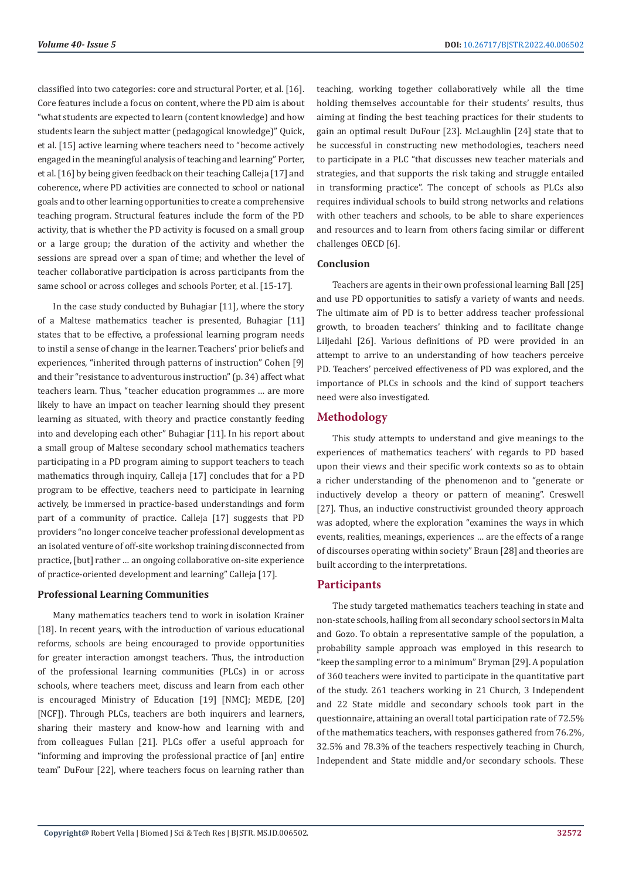classified into two categories: core and structural Porter, et al. [16]. Core features include a focus on content, where the PD aim is about "what students are expected to learn (content knowledge) and how students learn the subject matter (pedagogical knowledge)" Quick, et al. [15] active learning where teachers need to "become actively engaged in the meaningful analysis of teaching and learning" Porter, et al. [16] by being given feedback on their teaching Calleja [17] and coherence, where PD activities are connected to school or national goals and to other learning opportunities to create a comprehensive teaching program. Structural features include the form of the PD activity, that is whether the PD activity is focused on a small group or a large group; the duration of the activity and whether the sessions are spread over a span of time; and whether the level of teacher collaborative participation is across participants from the same school or across colleges and schools Porter, et al. [15-17].

In the case study conducted by Buhagiar [11], where the story of a Maltese mathematics teacher is presented, Buhagiar [11] states that to be effective, a professional learning program needs to instil a sense of change in the learner. Teachers' prior beliefs and experiences, "inherited through patterns of instruction" Cohen [9] and their "resistance to adventurous instruction" (p. 34) affect what teachers learn. Thus, "teacher education programmes … are more likely to have an impact on teacher learning should they present learning as situated, with theory and practice constantly feeding into and developing each other" Buhagiar [11]. In his report about a small group of Maltese secondary school mathematics teachers participating in a PD program aiming to support teachers to teach mathematics through inquiry, Calleja [17] concludes that for a PD program to be effective, teachers need to participate in learning actively, be immersed in practice-based understandings and form part of a community of practice. Calleja [17] suggests that PD providers "no longer conceive teacher professional development as an isolated venture of off-site workshop training disconnected from practice, [but] rather … an ongoing collaborative on-site experience of practice-oriented development and learning" Calleja [17].

#### **Professional Learning Communities**

Many mathematics teachers tend to work in isolation Krainer [18]. In recent years, with the introduction of various educational reforms, schools are being encouraged to provide opportunities for greater interaction amongst teachers. Thus, the introduction of the professional learning communities (PLCs) in or across schools, where teachers meet, discuss and learn from each other is encouraged Ministry of Education [19] [NMC]; MEDE, [20] [NCF]). Through PLCs, teachers are both inquirers and learners, sharing their mastery and know-how and learning with and from colleagues Fullan [21]. PLCs offer a useful approach for "informing and improving the professional practice of [an] entire team" DuFour [22], where teachers focus on learning rather than

teaching, working together collaboratively while all the time holding themselves accountable for their students' results, thus aiming at finding the best teaching practices for their students to gain an optimal result DuFour [23]. McLaughlin [24] state that to be successful in constructing new methodologies, teachers need to participate in a PLC "that discusses new teacher materials and strategies, and that supports the risk taking and struggle entailed in transforming practice". The concept of schools as PLCs also requires individual schools to build strong networks and relations with other teachers and schools, to be able to share experiences and resources and to learn from others facing similar or different challenges OECD [6].

#### **Conclusion**

Teachers are agents in their own professional learning Ball [25] and use PD opportunities to satisfy a variety of wants and needs. The ultimate aim of PD is to better address teacher professional growth, to broaden teachers' thinking and to facilitate change Liljedahl [26]. Various definitions of PD were provided in an attempt to arrive to an understanding of how teachers perceive PD. Teachers' perceived effectiveness of PD was explored, and the importance of PLCs in schools and the kind of support teachers need were also investigated.

# **Methodology**

This study attempts to understand and give meanings to the experiences of mathematics teachers' with regards to PD based upon their views and their specific work contexts so as to obtain a richer understanding of the phenomenon and to "generate or inductively develop a theory or pattern of meaning". Creswell [27]. Thus, an inductive constructivist grounded theory approach was adopted, where the exploration "examines the ways in which events, realities, meanings, experiences … are the effects of a range of discourses operating within society" Braun [28] and theories are built according to the interpretations.

#### **Participants**

The study targeted mathematics teachers teaching in state and non-state schools, hailing from all secondary school sectors in Malta and Gozo. To obtain a representative sample of the population, a probability sample approach was employed in this research to "keep the sampling error to a minimum" Bryman [29]. A population of 360 teachers were invited to participate in the quantitative part of the study. 261 teachers working in 21 Church, 3 Independent and 22 State middle and secondary schools took part in the questionnaire, attaining an overall total participation rate of 72.5% of the mathematics teachers, with responses gathered from 76.2%, 32.5% and 78.3% of the teachers respectively teaching in Church, Independent and State middle and/or secondary schools. These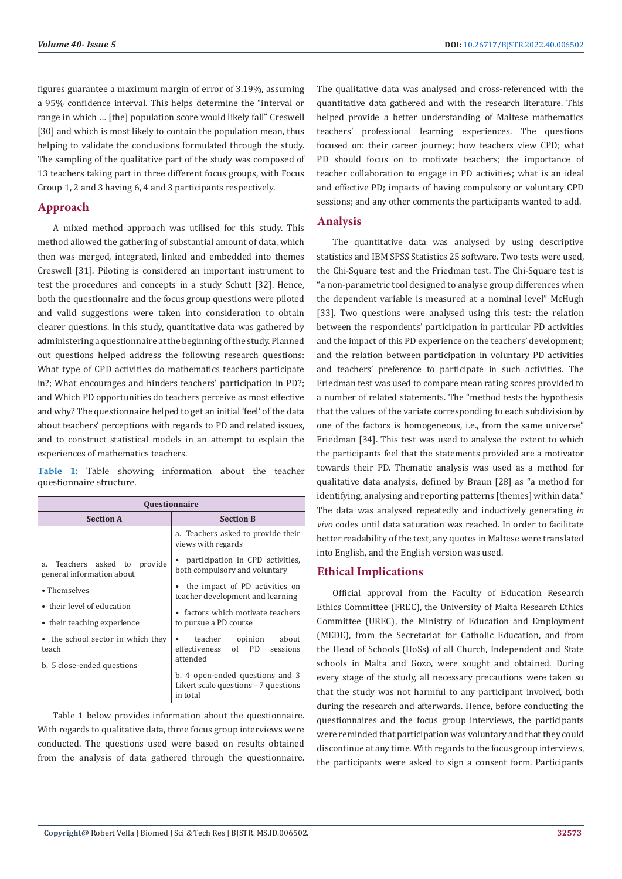figures guarantee a maximum margin of error of 3.19%, assuming a 95% confidence interval. This helps determine the "interval or range in which … [the] population score would likely fall" Creswell [30] and which is most likely to contain the population mean, thus helping to validate the conclusions formulated through the study. The sampling of the qualitative part of the study was composed of 13 teachers taking part in three different focus groups, with Focus Group 1, 2 and 3 having 6, 4 and 3 participants respectively.

# **Approach**

A mixed method approach was utilised for this study. This method allowed the gathering of substantial amount of data, which then was merged, integrated, linked and embedded into themes Creswell [31]. Piloting is considered an important instrument to test the procedures and concepts in a study Schutt [32]. Hence, both the questionnaire and the focus group questions were piloted and valid suggestions were taken into consideration to obtain clearer questions. In this study, quantitative data was gathered by administering a questionnaire at the beginning of the study. Planned out questions helped address the following research questions: What type of CPD activities do mathematics teachers participate in?; What encourages and hinders teachers' participation in PD?; and Which PD opportunities do teachers perceive as most effective and why? The questionnaire helped to get an initial 'feel' of the data about teachers' perceptions with regards to PD and related issues, and to construct statistical models in an attempt to explain the experiences of mathematics teachers.

**Table 1:** Table showing information about the teacher questionnaire structure.

| <b>Questionnaire</b>                                         |                                                                                     |
|--------------------------------------------------------------|-------------------------------------------------------------------------------------|
| <b>Section A</b>                                             | <b>Section B</b>                                                                    |
|                                                              | a. Teachers asked to provide their<br>views with regards                            |
| a. Teachers asked to<br>provide<br>general information about | • participation in CPD activities,<br>both compulsory and voluntary                 |
| • Themselves                                                 | • the impact of PD activities on<br>teacher development and learning                |
| • their level of education<br>• their teaching experience    | • factors which motivate teachers<br>to pursue a PD course                          |
| • the school sector in which they<br>teach                   | teacher<br>opinion<br>about<br>effectiveness of PD<br>sessions<br>attended          |
| b. 5 close-ended questions                                   | b. 4 open-ended questions and 3<br>Likert scale questions - 7 questions<br>in total |

Table 1 below provides information about the questionnaire. With regards to qualitative data, three focus group interviews were conducted. The questions used were based on results obtained from the analysis of data gathered through the questionnaire.

The qualitative data was analysed and cross-referenced with the quantitative data gathered and with the research literature. This helped provide a better understanding of Maltese mathematics teachers' professional learning experiences. The questions focused on: their career journey; how teachers view CPD; what PD should focus on to motivate teachers; the importance of teacher collaboration to engage in PD activities; what is an ideal and effective PD; impacts of having compulsory or voluntary CPD sessions; and any other comments the participants wanted to add.

# **Analysis**

The quantitative data was analysed by using descriptive statistics and IBM SPSS Statistics 25 software. Two tests were used, the Chi-Square test and the Friedman test. The Chi-Square test is "a non-parametric tool designed to analyse group differences when the dependent variable is measured at a nominal level" McHugh [33]. Two questions were analysed using this test: the relation between the respondents' participation in particular PD activities and the impact of this PD experience on the teachers' development; and the relation between participation in voluntary PD activities and teachers' preference to participate in such activities. The Friedman test was used to compare mean rating scores provided to a number of related statements. The "method tests the hypothesis that the values of the variate corresponding to each subdivision by one of the factors is homogeneous, i.e., from the same universe" Friedman [34]. This test was used to analyse the extent to which the participants feel that the statements provided are a motivator towards their PD. Thematic analysis was used as a method for qualitative data analysis, defined by Braun [28] as "a method for identifying, analysing and reporting patterns [themes] within data." The data was analysed repeatedly and inductively generating *in vivo* codes until data saturation was reached. In order to facilitate better readability of the text, any quotes in Maltese were translated into English, and the English version was used.

# **Ethical Implications**

Official approval from the Faculty of Education Research Ethics Committee (FREC), the University of Malta Research Ethics Committee (UREC), the Ministry of Education and Employment (MEDE), from the Secretariat for Catholic Education, and from the Head of Schools (HoSs) of all Church, Independent and State schools in Malta and Gozo, were sought and obtained. During every stage of the study, all necessary precautions were taken so that the study was not harmful to any participant involved, both during the research and afterwards. Hence, before conducting the questionnaires and the focus group interviews, the participants were reminded that participation was voluntary and that they could discontinue at any time. With regards to the focus group interviews, the participants were asked to sign a consent form. Participants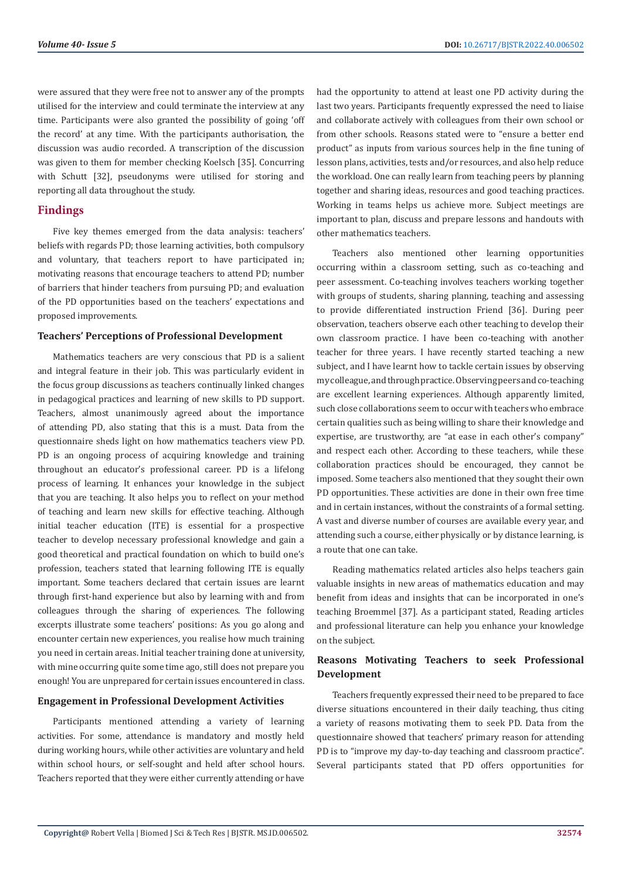were assured that they were free not to answer any of the prompts utilised for the interview and could terminate the interview at any time. Participants were also granted the possibility of going 'off the record' at any time. With the participants authorisation, the discussion was audio recorded. A transcription of the discussion was given to them for member checking Koelsch [35]. Concurring with Schutt [32], pseudonyms were utilised for storing and reporting all data throughout the study.

# **Findings**

Five key themes emerged from the data analysis: teachers' beliefs with regards PD; those learning activities, both compulsory and voluntary, that teachers report to have participated in; motivating reasons that encourage teachers to attend PD; number of barriers that hinder teachers from pursuing PD; and evaluation of the PD opportunities based on the teachers' expectations and proposed improvements.

#### **Teachers' Perceptions of Professional Development**

Mathematics teachers are very conscious that PD is a salient and integral feature in their job. This was particularly evident in the focus group discussions as teachers continually linked changes in pedagogical practices and learning of new skills to PD support. Teachers, almost unanimously agreed about the importance of attending PD, also stating that this is a must. Data from the questionnaire sheds light on how mathematics teachers view PD. PD is an ongoing process of acquiring knowledge and training throughout an educator's professional career. PD is a lifelong process of learning. It enhances your knowledge in the subject that you are teaching. It also helps you to reflect on your method of teaching and learn new skills for effective teaching. Although initial teacher education (ITE) is essential for a prospective teacher to develop necessary professional knowledge and gain a good theoretical and practical foundation on which to build one's profession, teachers stated that learning following ITE is equally important. Some teachers declared that certain issues are learnt through first-hand experience but also by learning with and from colleagues through the sharing of experiences. The following excerpts illustrate some teachers' positions: As you go along and encounter certain new experiences, you realise how much training you need in certain areas. Initial teacher training done at university, with mine occurring quite some time ago, still does not prepare you enough! You are unprepared for certain issues encountered in class.

### **Engagement in Professional Development Activities**

Participants mentioned attending a variety of learning activities. For some, attendance is mandatory and mostly held during working hours, while other activities are voluntary and held within school hours, or self-sought and held after school hours. Teachers reported that they were either currently attending or have had the opportunity to attend at least one PD activity during the last two years. Participants frequently expressed the need to liaise and collaborate actively with colleagues from their own school or from other schools. Reasons stated were to "ensure a better end product" as inputs from various sources help in the fine tuning of lesson plans, activities, tests and/or resources, and also help reduce the workload. One can really learn from teaching peers by planning together and sharing ideas, resources and good teaching practices. Working in teams helps us achieve more. Subject meetings are important to plan, discuss and prepare lessons and handouts with other mathematics teachers.

Teachers also mentioned other learning opportunities occurring within a classroom setting, such as co-teaching and peer assessment. Co-teaching involves teachers working together with groups of students, sharing planning, teaching and assessing to provide differentiated instruction Friend [36]. During peer observation, teachers observe each other teaching to develop their own classroom practice. I have been co-teaching with another teacher for three years. I have recently started teaching a new subject, and I have learnt how to tackle certain issues by observing my colleague, and through practice. Observing peers and co-teaching are excellent learning experiences. Although apparently limited, such close collaborations seem to occur with teachers who embrace certain qualities such as being willing to share their knowledge and expertise, are trustworthy, are "at ease in each other's company" and respect each other. According to these teachers, while these collaboration practices should be encouraged, they cannot be imposed. Some teachers also mentioned that they sought their own PD opportunities. These activities are done in their own free time and in certain instances, without the constraints of a formal setting. A vast and diverse number of courses are available every year, and attending such a course, either physically or by distance learning, is a route that one can take.

Reading mathematics related articles also helps teachers gain valuable insights in new areas of mathematics education and may benefit from ideas and insights that can be incorporated in one's teaching Broemmel [37]. As a participant stated, Reading articles and professional literature can help you enhance your knowledge on the subject.

# **Reasons Motivating Teachers to seek Professional Development**

Teachers frequently expressed their need to be prepared to face diverse situations encountered in their daily teaching, thus citing a variety of reasons motivating them to seek PD. Data from the questionnaire showed that teachers' primary reason for attending PD is to "improve my day-to-day teaching and classroom practice". Several participants stated that PD offers opportunities for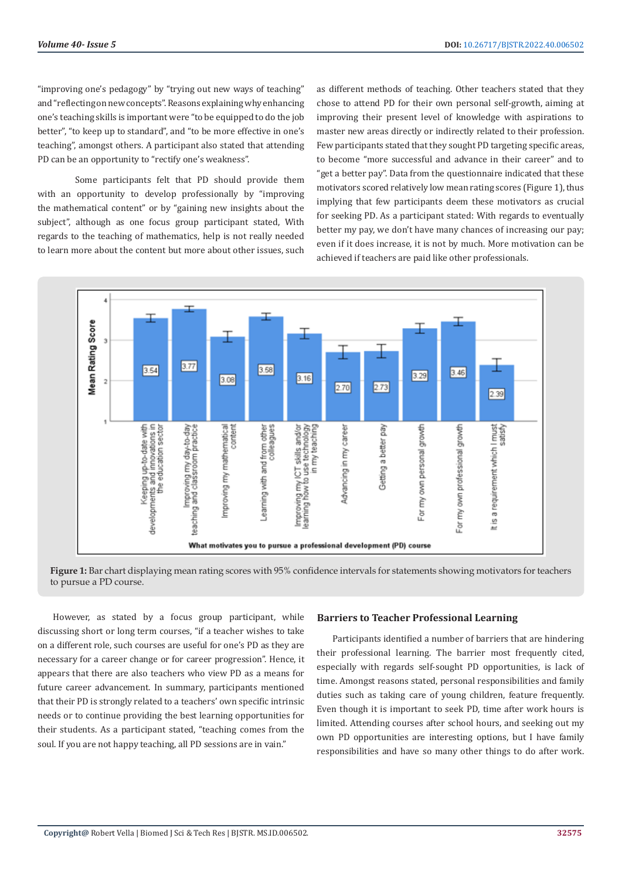"improving one's pedagogy" by "trying out new ways of teaching" and "reflecting on new concepts". Reasons explaining why enhancing one's teaching skills is important were "to be equipped to do the job better", "to keep up to standard", and "to be more effective in one's teaching", amongst others. A participant also stated that attending PD can be an opportunity to "rectify one's weakness".

Some participants felt that PD should provide them with an opportunity to develop professionally by "improving the mathematical content" or by "gaining new insights about the subject", although as one focus group participant stated, With regards to the teaching of mathematics, help is not really needed to learn more about the content but more about other issues, such

as different methods of teaching. Other teachers stated that they chose to attend PD for their own personal self-growth, aiming at improving their present level of knowledge with aspirations to master new areas directly or indirectly related to their profession. Few participants stated that they sought PD targeting specific areas, to become "more successful and advance in their career" and to "get a better pay". Data from the questionnaire indicated that these motivators scored relatively low mean rating scores (Figure 1), thus implying that few participants deem these motivators as crucial for seeking PD. As a participant stated: With regards to eventually better my pay, we don't have many chances of increasing our pay; even if it does increase, it is not by much. More motivation can be achieved if teachers are paid like other professionals.



**Figure 1:** Bar chart displaying mean rating scores with 95% confidence intervals for statements showing motivators for teachers to pursue a PD course.

However, as stated by a focus group participant, while discussing short or long term courses, "if a teacher wishes to take on a different role, such courses are useful for one's PD as they are necessary for a career change or for career progression". Hence, it appears that there are also teachers who view PD as a means for future career advancement. In summary, participants mentioned that their PD is strongly related to a teachers' own specific intrinsic needs or to continue providing the best learning opportunities for their students. As a participant stated, "teaching comes from the soul. If you are not happy teaching, all PD sessions are in vain."

#### **Barriers to Teacher Professional Learning**

Participants identified a number of barriers that are hindering their professional learning. The barrier most frequently cited, especially with regards self-sought PD opportunities, is lack of time. Amongst reasons stated, personal responsibilities and family duties such as taking care of young children, feature frequently. Even though it is important to seek PD, time after work hours is limited. Attending courses after school hours, and seeking out my own PD opportunities are interesting options, but I have family responsibilities and have so many other things to do after work.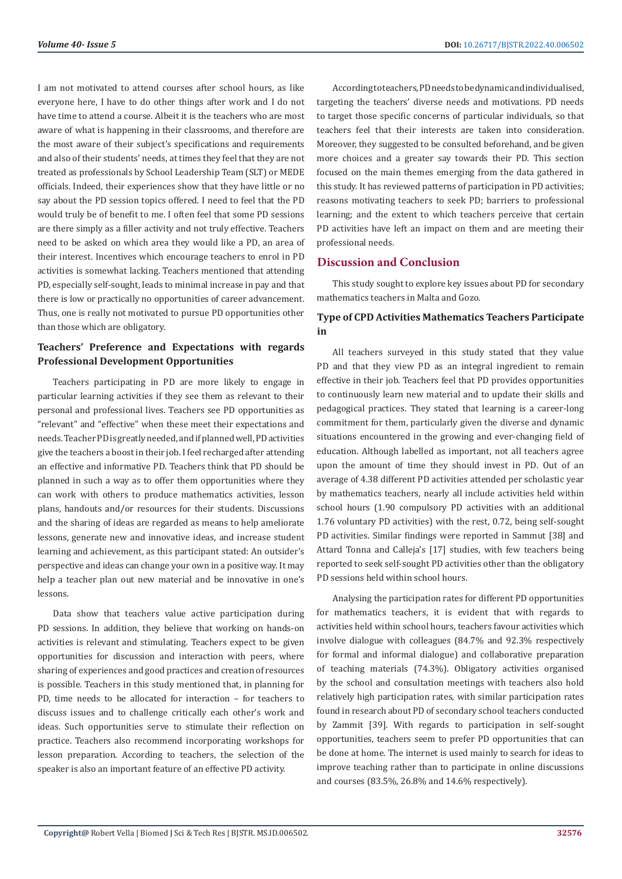I am not motivated to attend courses after school hours, as like everyone here, I have to do other things after work and I do not have time to attend a course. Albeit it is the teachers who are most aware of what is happening in their classrooms, and therefore are the most aware of their subject's specifications and requirements and also of their students' needs, at times they feel that they are not treated as professionals by School Leadership Team (SLT) or MEDE officials. Indeed, their experiences show that they have little or no say about the PD session topics offered. I need to feel that the PD would truly be of benefit to me. I often feel that some PD sessions are there simply as a filler activity and not truly effective. Teachers need to be asked on which area they would like a PD, an area of their interest. Incentives which encourage teachers to enrol in PD activities is somewhat lacking. Teachers mentioned that attending PD, especially self-sought, leads to minimal increase in pay and that there is low or practically no opportunities of career advancement. Thus, one is really not motivated to pursue PD opportunities other than those which are obligatory.

# **Teachers' Preference and Expectations with regards Professional Development Opportunities**

Teachers participating in PD are more likely to engage in particular learning activities if they see them as relevant to their personal and professional lives. Teachers see PD opportunities as "relevant" and "effective" when these meet their expectations and needs. Teacher PD is greatly needed, and if planned well, PD activities give the teachers a boost in their job. I feel recharged after attending an effective and informative PD. Teachers think that PD should be planned in such a way as to offer them opportunities where they can work with others to produce mathematics activities, lesson plans, handouts and/or resources for their students. Discussions and the sharing of ideas are regarded as means to help ameliorate lessons, generate new and innovative ideas, and increase student learning and achievement, as this participant stated: An outsider's perspective and ideas can change your own in a positive way. It may help a teacher plan out new material and be innovative in one's lessons.

Data show that teachers value active participation during PD sessions. In addition, they believe that working on hands-on activities is relevant and stimulating. Teachers expect to be given opportunities for discussion and interaction with peers, where sharing of experiences and good practices and creation of resources is possible. Teachers in this study mentioned that, in planning for PD, time needs to be allocated for interaction – for teachers to discuss issues and to challenge critically each other's work and ideas. Such opportunities serve to stimulate their reflection on practice. Teachers also recommend incorporating workshops for lesson preparation. According to teachers, the selection of the speaker is also an important feature of an effective PD activity.

According to teachers, PD needs to be dynamic and individualised, targeting the teachers' diverse needs and motivations. PD needs to target those specific concerns of particular individuals, so that teachers feel that their interests are taken into consideration. Moreover, they suggested to be consulted beforehand, and be given more choices and a greater say towards their PD. This section focused on the main themes emerging from the data gathered in this study. It has reviewed patterns of participation in PD activities; reasons motivating teachers to seek PD; barriers to professional learning; and the extent to which teachers perceive that certain PD activities have left an impact on them and are meeting their professional needs.

# **Discussion and Conclusion**

This study sought to explore key issues about PD for secondary mathematics teachers in Malta and Gozo.

# **Type of CPD Activities Mathematics Teachers Participate in**

All teachers surveyed in this study stated that they value PD and that they view PD as an integral ingredient to remain effective in their job. Teachers feel that PD provides opportunities to continuously learn new material and to update their skills and pedagogical practices. They stated that learning is a career-long commitment for them, particularly given the diverse and dynamic situations encountered in the growing and ever-changing field of education. Although labelled as important, not all teachers agree upon the amount of time they should invest in PD. Out of an average of 4.38 different PD activities attended per scholastic year by mathematics teachers, nearly all include activities held within school hours (1.90 compulsory PD activities with an additional 1.76 voluntary PD activities) with the rest, 0.72, being self-sought PD activities. Similar findings were reported in Sammut [38] and Attard Tonna and Calleja's [17] studies, with few teachers being reported to seek self-sought PD activities other than the obligatory PD sessions held within school hours.

Analysing the participation rates for different PD opportunities for mathematics teachers, it is evident that with regards to activities held within school hours, teachers favour activities which involve dialogue with colleagues (84.7% and 92.3% respectively for formal and informal dialogue) and collaborative preparation of teaching materials (74.3%). Obligatory activities organised by the school and consultation meetings with teachers also hold relatively high participation rates, with similar participation rates found in research about PD of secondary school teachers conducted by Zammit [39]. With regards to participation in self-sought opportunities, teachers seem to prefer PD opportunities that can be done at home. The internet is used mainly to search for ideas to improve teaching rather than to participate in online discussions and courses (83.5%, 26.8% and 14.6% respectively).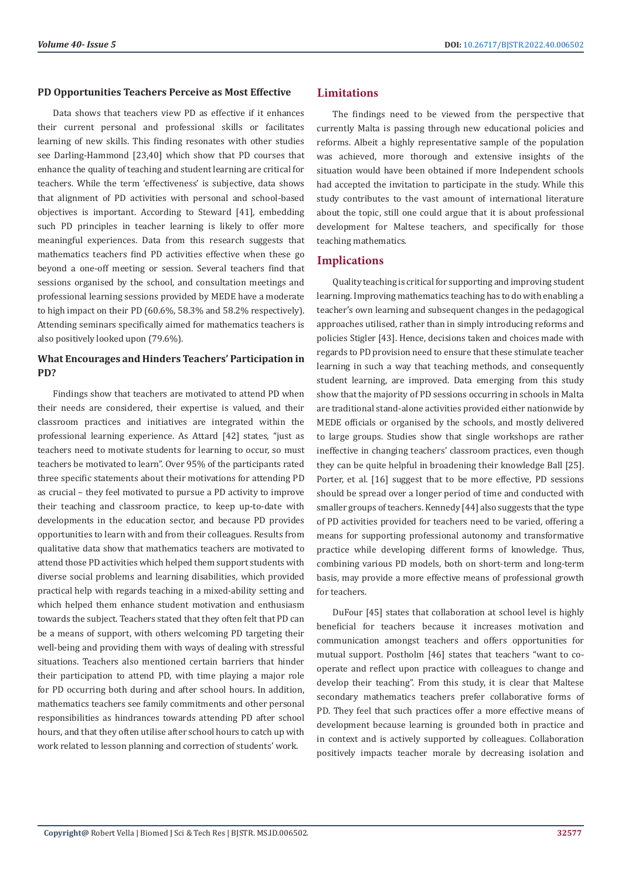#### **PD Opportunities Teachers Perceive as Most Effective**

Data shows that teachers view PD as effective if it enhances their current personal and professional skills or facilitates learning of new skills. This finding resonates with other studies see Darling-Hammond [23,40] which show that PD courses that enhance the quality of teaching and student learning are critical for teachers. While the term 'effectiveness' is subjective, data shows that alignment of PD activities with personal and school-based objectives is important. According to Steward [41], embedding such PD principles in teacher learning is likely to offer more meaningful experiences. Data from this research suggests that mathematics teachers find PD activities effective when these go beyond a one-off meeting or session. Several teachers find that sessions organised by the school, and consultation meetings and professional learning sessions provided by MEDE have a moderate to high impact on their PD (60.6%, 58.3% and 58.2% respectively). Attending seminars specifically aimed for mathematics teachers is also positively looked upon (79.6%).

# **What Encourages and Hinders Teachers' Participation in PD?**

Findings show that teachers are motivated to attend PD when their needs are considered, their expertise is valued, and their classroom practices and initiatives are integrated within the professional learning experience. As Attard [42] states, "just as teachers need to motivate students for learning to occur, so must teachers be motivated to learn". Over 95% of the participants rated three specific statements about their motivations for attending PD as crucial – they feel motivated to pursue a PD activity to improve their teaching and classroom practice, to keep up-to-date with developments in the education sector, and because PD provides opportunities to learn with and from their colleagues. Results from qualitative data show that mathematics teachers are motivated to attend those PD activities which helped them support students with diverse social problems and learning disabilities, which provided practical help with regards teaching in a mixed-ability setting and which helped them enhance student motivation and enthusiasm towards the subject. Teachers stated that they often felt that PD can be a means of support, with others welcoming PD targeting their well-being and providing them with ways of dealing with stressful situations. Teachers also mentioned certain barriers that hinder their participation to attend PD, with time playing a major role for PD occurring both during and after school hours. In addition, mathematics teachers see family commitments and other personal responsibilities as hindrances towards attending PD after school hours, and that they often utilise after school hours to catch up with work related to lesson planning and correction of students' work.

# **Limitations**

The findings need to be viewed from the perspective that currently Malta is passing through new educational policies and reforms. Albeit a highly representative sample of the population was achieved, more thorough and extensive insights of the situation would have been obtained if more Independent schools had accepted the invitation to participate in the study. While this study contributes to the vast amount of international literature about the topic, still one could argue that it is about professional development for Maltese teachers, and specifically for those teaching mathematics.

# **Implications**

Quality teaching is critical for supporting and improving student learning. Improving mathematics teaching has to do with enabling a teacher's own learning and subsequent changes in the pedagogical approaches utilised, rather than in simply introducing reforms and policies Stigler [43]. Hence, decisions taken and choices made with regards to PD provision need to ensure that these stimulate teacher learning in such a way that teaching methods, and consequently student learning, are improved. Data emerging from this study show that the majority of PD sessions occurring in schools in Malta are traditional stand-alone activities provided either nationwide by MEDE officials or organised by the schools, and mostly delivered to large groups. Studies show that single workshops are rather ineffective in changing teachers' classroom practices, even though they can be quite helpful in broadening their knowledge Ball [25]. Porter, et al. [16] suggest that to be more effective, PD sessions should be spread over a longer period of time and conducted with smaller groups of teachers. Kennedy [44] also suggests that the type of PD activities provided for teachers need to be varied, offering a means for supporting professional autonomy and transformative practice while developing different forms of knowledge. Thus, combining various PD models, both on short-term and long-term basis, may provide a more effective means of professional growth for teachers.

DuFour [45] states that collaboration at school level is highly beneficial for teachers because it increases motivation and communication amongst teachers and offers opportunities for mutual support. Postholm [46] states that teachers "want to cooperate and reflect upon practice with colleagues to change and develop their teaching". From this study, it is clear that Maltese secondary mathematics teachers prefer collaborative forms of PD. They feel that such practices offer a more effective means of development because learning is grounded both in practice and in context and is actively supported by colleagues. Collaboration positively impacts teacher morale by decreasing isolation and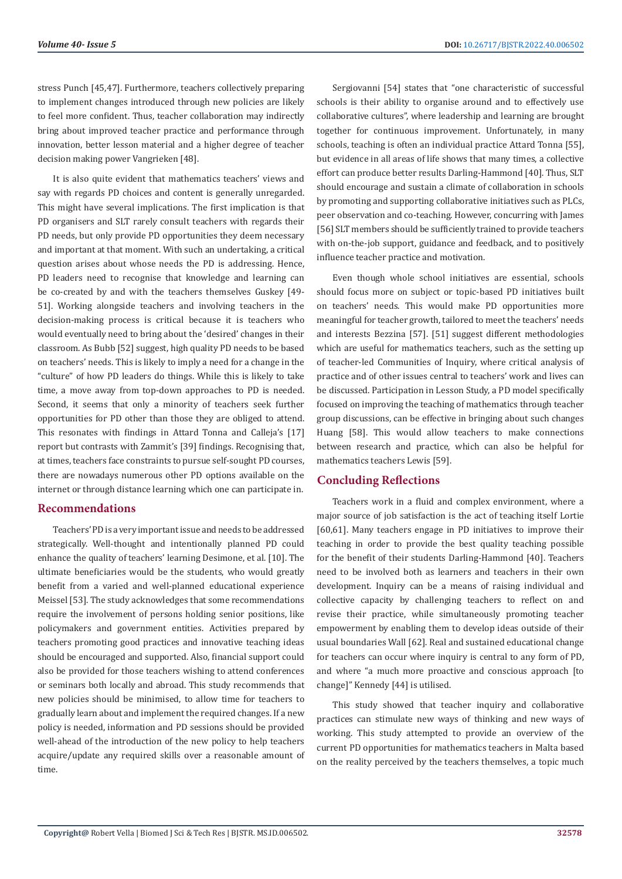stress Punch [45,47]. Furthermore, teachers collectively preparing to implement changes introduced through new policies are likely to feel more confident. Thus, teacher collaboration may indirectly bring about improved teacher practice and performance through innovation, better lesson material and a higher degree of teacher decision making power Vangrieken [48].

It is also quite evident that mathematics teachers' views and say with regards PD choices and content is generally unregarded. This might have several implications. The first implication is that PD organisers and SLT rarely consult teachers with regards their PD needs, but only provide PD opportunities they deem necessary and important at that moment. With such an undertaking, a critical question arises about whose needs the PD is addressing. Hence, PD leaders need to recognise that knowledge and learning can be co-created by and with the teachers themselves Guskey [49- 51]. Working alongside teachers and involving teachers in the decision-making process is critical because it is teachers who would eventually need to bring about the 'desired' changes in their classroom. As Bubb [52] suggest, high quality PD needs to be based on teachers' needs. This is likely to imply a need for a change in the "culture" of how PD leaders do things. While this is likely to take time, a move away from top-down approaches to PD is needed. Second, it seems that only a minority of teachers seek further opportunities for PD other than those they are obliged to attend. This resonates with findings in Attard Tonna and Calleja's [17] report but contrasts with Zammit's [39] findings. Recognising that, at times, teachers face constraints to pursue self-sought PD courses, there are nowadays numerous other PD options available on the internet or through distance learning which one can participate in.

# **Recommendations**

Teachers' PD is a very important issue and needs to be addressed strategically. Well-thought and intentionally planned PD could enhance the quality of teachers' learning Desimone, et al. [10]. The ultimate beneficiaries would be the students, who would greatly benefit from a varied and well-planned educational experience Meissel [53]. The study acknowledges that some recommendations require the involvement of persons holding senior positions, like policymakers and government entities. Activities prepared by teachers promoting good practices and innovative teaching ideas should be encouraged and supported. Also, financial support could also be provided for those teachers wishing to attend conferences or seminars both locally and abroad. This study recommends that new policies should be minimised, to allow time for teachers to gradually learn about and implement the required changes. If a new policy is needed, information and PD sessions should be provided well-ahead of the introduction of the new policy to help teachers acquire/update any required skills over a reasonable amount of time.

Sergiovanni [54] states that "one characteristic of successful schools is their ability to organise around and to effectively use collaborative cultures", where leadership and learning are brought together for continuous improvement. Unfortunately, in many schools, teaching is often an individual practice Attard Tonna [55], but evidence in all areas of life shows that many times, a collective effort can produce better results Darling-Hammond [40]. Thus, SLT should encourage and sustain a climate of collaboration in schools by promoting and supporting collaborative initiatives such as PLCs, peer observation and co-teaching. However, concurring with James [56] SLT members should be sufficiently trained to provide teachers with on-the-job support, guidance and feedback, and to positively influence teacher practice and motivation.

Even though whole school initiatives are essential, schools should focus more on subject or topic-based PD initiatives built on teachers' needs. This would make PD opportunities more meaningful for teacher growth, tailored to meet the teachers' needs and interests Bezzina [57]. [51] suggest different methodologies which are useful for mathematics teachers, such as the setting up of teacher-led Communities of Inquiry, where critical analysis of practice and of other issues central to teachers' work and lives can be discussed. Participation in Lesson Study, a PD model specifically focused on improving the teaching of mathematics through teacher group discussions, can be effective in bringing about such changes Huang [58]. This would allow teachers to make connections between research and practice, which can also be helpful for mathematics teachers Lewis [59].

# **Concluding Reflections**

Teachers work in a fluid and complex environment, where a major source of job satisfaction is the act of teaching itself Lortie [60,61]. Many teachers engage in PD initiatives to improve their teaching in order to provide the best quality teaching possible for the benefit of their students Darling-Hammond [40]. Teachers need to be involved both as learners and teachers in their own development. Inquiry can be a means of raising individual and collective capacity by challenging teachers to reflect on and revise their practice, while simultaneously promoting teacher empowerment by enabling them to develop ideas outside of their usual boundaries Wall [62]. Real and sustained educational change for teachers can occur where inquiry is central to any form of PD, and where "a much more proactive and conscious approach [to change]" Kennedy [44] is utilised.

This study showed that teacher inquiry and collaborative practices can stimulate new ways of thinking and new ways of working. This study attempted to provide an overview of the current PD opportunities for mathematics teachers in Malta based on the reality perceived by the teachers themselves, a topic much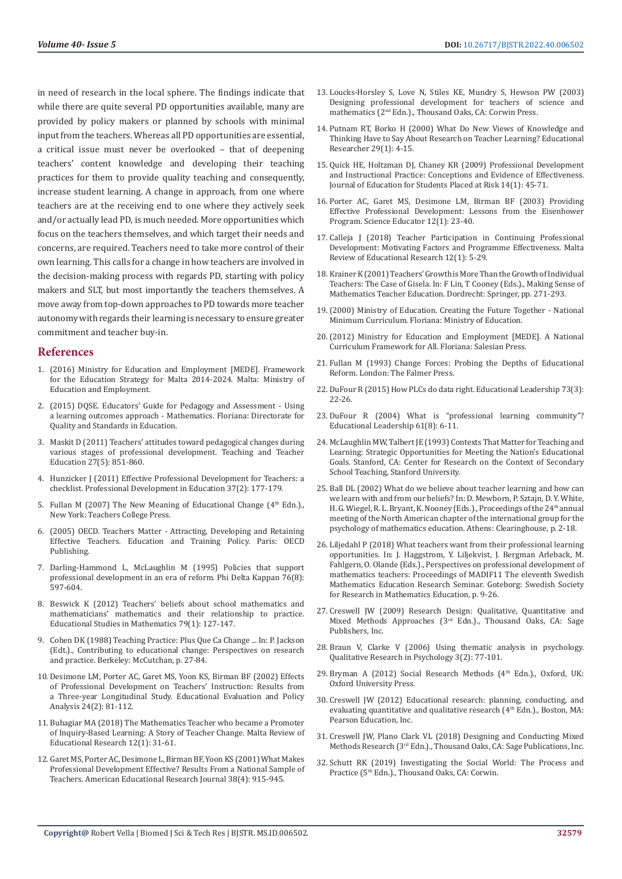in need of research in the local sphere. The findings indicate that while there are quite several PD opportunities available, many are provided by policy makers or planned by schools with minimal input from the teachers. Whereas all PD opportunities are essential, a critical issue must never be overlooked – that of deepening teachers' content knowledge and developing their teaching practices for them to provide quality teaching and consequently, increase student learning. A change in approach, from one where teachers are at the receiving end to one where they actively seek and/or actually lead PD, is much needed. More opportunities which focus on the teachers themselves, and which target their needs and concerns, are required. Teachers need to take more control of their own learning. This calls for a change in how teachers are involved in the decision-making process with regards PD, starting with policy makers and SLT, but most importantly the teachers themselves. A move away from top-down approaches to PD towards more teacher autonomy with regards their learning is necessary to ensure greater commitment and teacher buy-in.

#### **References**

- 1. [\(2016\) Ministry for Education and Employment \[MEDE\]. Framework](https://education.gov.mt/en/Pages/Plus.aspx)  [for the Education Strategy for Malta 2014-2024. Malta: Ministry of](https://education.gov.mt/en/Pages/Plus.aspx)  [Education and Employment.](https://education.gov.mt/en/Pages/Plus.aspx)
- 2. [\(2015\) DQSE. Educators' Guide for Pedagogy and Assessment Using](https://www.schoolslearningoutcomes.edu.mt/files/documents/Early_Years.14520950652.pdf)  [a learning outcomes approach - Mathematics. Floriana: Directorate for](https://www.schoolslearningoutcomes.edu.mt/files/documents/Early_Years.14520950652.pdf)  [Quality and Standards in Education.](https://www.schoolslearningoutcomes.edu.mt/files/documents/Early_Years.14520950652.pdf)
- 3. [Maskit D \(2011\) Teachers' attitudes toward pedagogical changes during](https://www.sciencedirect.com/science/article/abs/pii/S0742051X11000163)  [various stages of professional development. Teaching and Teacher](https://www.sciencedirect.com/science/article/abs/pii/S0742051X11000163)  [Education 27\(5\): 851-860.](https://www.sciencedirect.com/science/article/abs/pii/S0742051X11000163)
- 4. [Hunzicker J \(2011\) Effective Professional Development for Teachers: a](https://eric.ed.gov/?id=EJ919321)  [checklist. Professional Development in Education 37\(2\): 177-179.](https://eric.ed.gov/?id=EJ919321)
- 5. Fullan M (2007) The New Meaning of Educational Change ( $4<sup>th</sup>$  Edn.)., [New York: Teachers College Press.](https://www.amazon.in/New-Meaning-Educational-Change/dp/0807747653)
- 6. [\(2005\) OECD. Teachers Matter Attracting, Developing and Retaining](https://www.oecd.org/education/school/attractingdevelopingandretainingeffectiveteachers-finalreportteachersmatter.htm)  [Effective Teachers. Education and Training Policy. Paris: OECD](https://www.oecd.org/education/school/attractingdevelopingandretainingeffectiveteachers-finalreportteachersmatter.htm)  [Publishing.](https://www.oecd.org/education/school/attractingdevelopingandretainingeffectiveteachers-finalreportteachersmatter.htm)
- 7. [Darling-Hammond L, McLaughlin M \(1995\) Policies that support](https://www.researchgate.net/profile/Linda-Darling-Hammond/publication/243783117_Policies_That_Support_Professional_Development_in_an_Era_of_Reform/links/54a5945c0cf267bdb9082773/Policies-That-Support-Professional-Development-in-an-Era-of-Reform.pdf)  [professional development in an era of reform. Phi Delta Kappan 76\(8\):](https://www.researchgate.net/profile/Linda-Darling-Hammond/publication/243783117_Policies_That_Support_Professional_Development_in_an_Era_of_Reform/links/54a5945c0cf267bdb9082773/Policies-That-Support-Professional-Development-in-an-Era-of-Reform.pdf)  [597-604.](https://www.researchgate.net/profile/Linda-Darling-Hammond/publication/243783117_Policies_That_Support_Professional_Development_in_an_Era_of_Reform/links/54a5945c0cf267bdb9082773/Policies-That-Support-Professional-Development-in-an-Era-of-Reform.pdf)
- 8. [Beswick K \(2012\) Teachers' beliefs about school mathematics and](https://www.researchgate.net/publication/225778278_Teachers)  [mathematicians' mathematics and their relationship to practice.](https://www.researchgate.net/publication/225778278_Teachers)  [Educational Studies in Mathematics 79\(1\): 127-147.](https://www.researchgate.net/publication/225778278_Teachers)
- 9. Cohen DK (1988) Teaching Practice: Plus Que Ca Change ... In: P. Jackson (Edt.)., Contributing to educational change: Perspectives on research and practice. Berkeley: McCutchan, p. 27-84.
- 10. [Desimone LM, Porter AC, Garet MS, Yoon KS, Birman BF \(2002\) Effects](https://www.researchgate.net/publication/228765474_Effects_of_Professional_Development_on_Teachers)  [of Professional Development on Teachers' Instruction: Results from](https://www.researchgate.net/publication/228765474_Effects_of_Professional_Development_on_Teachers)  [a Three-year Longitudinal Study. Educational Evaluation and Policy](https://www.researchgate.net/publication/228765474_Effects_of_Professional_Development_on_Teachers)  [Analysis 24\(2\): 81-112.](https://www.researchgate.net/publication/228765474_Effects_of_Professional_Development_on_Teachers)
- 11. [Buhagiar MA \(2018\) The Mathematics Teacher who became a Promoter](https://www.researchgate.net/publication/326330998_The_Mathematics_Teacher_who_became_a_Promoter_of_Inquiry-Based_Learning_A_Story_of_Teacher_Change)  [of Inquiry-Based Learning: A Story of Teacher Change. Malta Review of](https://www.researchgate.net/publication/326330998_The_Mathematics_Teacher_who_became_a_Promoter_of_Inquiry-Based_Learning_A_Story_of_Teacher_Change)  [Educational Research 12\(1\): 31-61.](https://www.researchgate.net/publication/326330998_The_Mathematics_Teacher_who_became_a_Promoter_of_Inquiry-Based_Learning_A_Story_of_Teacher_Change)
- 12. [Garet MS, Porter AC, Desimone L, Birman BF, Yoon KS \(2001\) What Makes](https://www.researchgate.net/publication/237817648_What_Makes_Professional_Development_Effective_Results_From_a_National_Sample_of_Teachers)  [Professional Development Effective? Results From a National Sample of](https://www.researchgate.net/publication/237817648_What_Makes_Professional_Development_Effective_Results_From_a_National_Sample_of_Teachers)  [Teachers. American Educational Research Journal 38\(4\): 915-945.](https://www.researchgate.net/publication/237817648_What_Makes_Professional_Development_Effective_Results_From_a_National_Sample_of_Teachers)
- 13. Loucks-Horsley S, Love N, Stiles KE, Mundry S, Hewson PW (2003) Designing professional development for teachers of science and mathematics (2<sup>nd</sup> Edn.)., Thousand Oaks, CA: Corwin Press.
- 14. [Putnam RT, Borko H \(2000\) What Do New Views of Knowledge and](https://www.researchgate.net/publication/216458567_What_Do_New_Views_of_Knowledge_and_Thinking_Have_to_Say_About_Research_on_Teacher_Learning) [Thinking Have to Say About Research on Teacher Learning? Educational](https://www.researchgate.net/publication/216458567_What_Do_New_Views_of_Knowledge_and_Thinking_Have_to_Say_About_Research_on_Teacher_Learning) [Researcher 29\(1\): 4-15.](https://www.researchgate.net/publication/216458567_What_Do_New_Views_of_Knowledge_and_Thinking_Have_to_Say_About_Research_on_Teacher_Learning)
- 15. [Quick HE, Holtzman DJ, Chaney KR \(2009\) Professional Development](https://www.researchgate.net/publication/248940904_Professional_Development_and_Instructional_Practice_Conceptions_and_Evidence_of_Effectiveness) [and Instructional Practice: Conceptions and Evidence of Effectiveness.](https://www.researchgate.net/publication/248940904_Professional_Development_and_Instructional_Practice_Conceptions_and_Evidence_of_Effectiveness) [Journal of Education for Students Placed at Risk 14\(1\): 45-71.](https://www.researchgate.net/publication/248940904_Professional_Development_and_Instructional_Practice_Conceptions_and_Evidence_of_Effectiveness)
- 16. [Porter AC, Garet MS, Desimone LM, Birman BF \(2003\) Providing](https://www.researchgate.net/publication/313599545_Providing_effective_professional_development_Lessons_from_the_Eisenhower_Program) [Effective Professional Development: Lessons from the Eisenhower](https://www.researchgate.net/publication/313599545_Providing_effective_professional_development_Lessons_from_the_Eisenhower_Program) [Program. Science Educator 12\(1\): 23-40.](https://www.researchgate.net/publication/313599545_Providing_effective_professional_development_Lessons_from_the_Eisenhower_Program)
- 17. [Calleja J \(2018\) Teacher Participation in Continuing Professional](https://www.researchgate.net/publication/326675862_Teacher_Participation_in_Continuing_Professional_Development_Motivating_factors_and_programme_effectiveness) [Development: Motivating Factors and Programme Effectiveness. Malta](https://www.researchgate.net/publication/326675862_Teacher_Participation_in_Continuing_Professional_Development_Motivating_factors_and_programme_effectiveness) [Review of Educational Research 12\(1\): 5-29.](https://www.researchgate.net/publication/326675862_Teacher_Participation_in_Continuing_Professional_Development_Motivating_factors_and_programme_effectiveness)
- 18. Krainer K (2001) Teachers' Growth is More Than the Growth of Individual Teachers: The Case of Gisela. In: F Lin, T Cooney (Eds.)., Making Sense of Mathematics Teacher Education. Dordrecht: Springer, pp. 271-293.
- 19.(2000) Ministry of Education. Creating the Future Together National Minimum Curriculum. Floriana: Ministry of Education.
- 20.[\(2012\) Ministry for Education and Employment \[MEDE\]. A National](https://curriculum.gov.mt/en/resources/the-ncf/pages/default.aspx) [Curriculum Framework for All. Floriana: Salesian Press.](https://curriculum.gov.mt/en/resources/the-ncf/pages/default.aspx)
- 21. [Fullan M \(1993\) Change Forces: Probing the Depths of Educational](https://www.routledge.com/Change-Forces-Probing-the-Depths-of-Educational-Reform/Fullan/p/book/9781850008262) [Reform. London: The Falmer Press.](https://www.routledge.com/Change-Forces-Probing-the-Depths-of-Educational-Reform/Fullan/p/book/9781850008262)
- 22. [DuFour R \(2015\) How PLCs do data right. Educational Leadership 73\(3\):](http://www1.ascd.org/publications/educational-leadership/nov15/vol73/num03/How-PLCs-Do-Data-Right.aspx) [22-26.](http://www1.ascd.org/publications/educational-leadership/nov15/vol73/num03/How-PLCs-Do-Data-Right.aspx)
- 23. [DuFour R \(2004\) What is "professional learning community"?](https://www.ascd.org/el/articles/what-is-a-professional-learning-community) [Educational Leadership 61\(8\): 6-11.](https://www.ascd.org/el/articles/what-is-a-professional-learning-community)
- 24. [McLaughlin MW, Talbert JE \(1993\) Contexts That Matter for Teaching and](https://www.researchgate.net/publication/277743753_Contexts_That_Matter_for_Teaching_and_Learning_Strategic_Opportunities_for_Meeting_the_Nation) [Learning: Strategic Opportunities for Meeting the Nation's Educational](https://www.researchgate.net/publication/277743753_Contexts_That_Matter_for_Teaching_and_Learning_Strategic_Opportunities_for_Meeting_the_Nation) [Goals. Stanford, CA: Center for Research on the Context of Secondary](https://www.researchgate.net/publication/277743753_Contexts_That_Matter_for_Teaching_and_Learning_Strategic_Opportunities_for_Meeting_the_Nation) [School Teaching, Stanford University.](https://www.researchgate.net/publication/277743753_Contexts_That_Matter_for_Teaching_and_Learning_Strategic_Opportunities_for_Meeting_the_Nation)
- 25. Ball DL (2002) What do we believe about teacher learning and how can we learn with and from our beliefs? In: D. Mewborn, P. Sztajn, D. Y. White, H. G. Wiegel, R. L. Bryant, K. Nooney (Eds.)., Proceedings of the 24<sup>th</sup> annual meeting of the North American chapter of the international group for the psychology of mathematics education. Athens: Clearinghouse, p. 2-18.
- 26. Liljedahl P (2018) What teachers want from their professional learning opportunities. In: J. Haggstrom, Y. Liljekvist, J. Bergman Arleback, M. Fahlgern, O. Olande (Eds.)., Perspectives on professional development of mathematics teachers: Proceedings of MADIF11 The eleventh Swedish Mathematics Education Research Seminar. Goteborg: Swedish Society for Research in Mathematics Education, p. 9-26.
- 27. [Creswell JW \(2009\) Research Design: Qualitative, Quantitative and](https://www.amazon.com/Research-Design-Qualitative-Quantitative-Approaches/dp/1412965578) Mixed Methods Approaches (3[rd Edn.\)., Thousand Oaks, CA: Sage](https://www.amazon.com/Research-Design-Qualitative-Quantitative-Approaches/dp/1412965578) [Publishers, Inc.](https://www.amazon.com/Research-Design-Qualitative-Quantitative-Approaches/dp/1412965578)
- 28. [Braun V, Clarke V \(2006\) Using thematic analysis in psychology.](https://www.researchgate.net/publication/235356393_Using_thematic_analysis_in_psychology) [Qualitative Research in Psychology 3\(2\): 77-101.](https://www.researchgate.net/publication/235356393_Using_thematic_analysis_in_psychology)
- 29. Bryman A (2012) Social Research Methods (4<sup>th</sup> Edn.)., Oxford, UK: Oxford University Press.
- 30. [Creswell JW \(2012\) Educational research: planning, conducting, and](https://www.pearson.com/us/higher-education/product/Creswell-Educational-Research-Planning-Conducting-and-Evaluating-Quantitative-and-Qualitative-Research-4th-Edition/9780131367395.html) [evaluating quantitative and qualitative research \(4](https://www.pearson.com/us/higher-education/product/Creswell-Educational-Research-Planning-Conducting-and-Evaluating-Quantitative-and-Qualitative-Research-4th-Edition/9780131367395.html)<sup>th</sup> Edn.)., Boston, MA: [Pearson Education, Inc.](https://www.pearson.com/us/higher-education/product/Creswell-Educational-Research-Planning-Conducting-and-Evaluating-Quantitative-and-Qualitative-Research-4th-Edition/9780131367395.html)
- 31. [Creswell JW, Plano Clark VL \(2018\) Designing and Conducting Mixed](https://www.worldcat.org/title/designing-and-conducting-mixed-methods-research/oclc/1000385901) Methods Research (3<sup>rd</sup> Edn.)., Thousand Oaks, CA: Sage Publications, Inc.
- 32. [Schutt RK \(2019\) Investigating the Social World: The Process and](https://www.amazon.com/Investigating-Social-World-Practice-Research/dp/141292734X) Practice (5<sup>th</sup> Edn.)., Thousand Oaks, CA: Corwin.